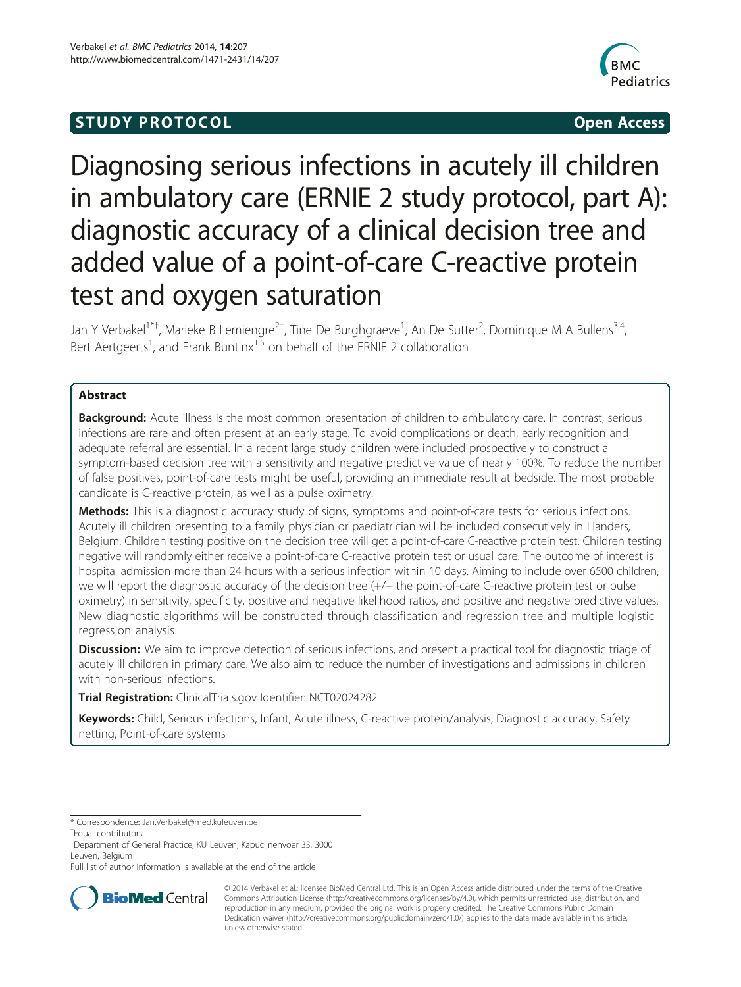# **STUDY PROTOCOL CONSUMING THE STUDY PROTOCOL**



# Diagnosing serious infections in acutely ill children in ambulatory care (ERNIE 2 study protocol, part A): diagnostic accuracy of a clinical decision tree and added value of a point-of-care C-reactive protein test and oxygen saturation

Jan Y Verbakel<sup>1\*†</sup>, Marieke B Lemiengre<sup>2†</sup>, Tine De Burghgraeve<sup>1</sup>, An De Sutter<sup>2</sup>, Dominique M A Bullens<sup>3,4</sup>, Bert Aertgeerts<sup>1</sup>, and Frank Buntinx<sup>1,5</sup> on behalf of the ERNIE 2 collaboration

# Abstract

Background: Acute illness is the most common presentation of children to ambulatory care. In contrast, serious infections are rare and often present at an early stage. To avoid complications or death, early recognition and adequate referral are essential. In a recent large study children were included prospectively to construct a symptom-based decision tree with a sensitivity and negative predictive value of nearly 100%. To reduce the number of false positives, point-of-care tests might be useful, providing an immediate result at bedside. The most probable candidate is C-reactive protein, as well as a pulse oximetry.

Methods: This is a diagnostic accuracy study of signs, symptoms and point-of-care tests for serious infections. Acutely ill children presenting to a family physician or paediatrician will be included consecutively in Flanders, Belgium. Children testing positive on the decision tree will get a point-of-care C-reactive protein test. Children testing negative will randomly either receive a point-of-care C-reactive protein test or usual care. The outcome of interest is hospital admission more than 24 hours with a serious infection within 10 days. Aiming to include over 6500 children, we will report the diagnostic accuracy of the decision tree (+/− the point-of-care C-reactive protein test or pulse oximetry) in sensitivity, specificity, positive and negative likelihood ratios, and positive and negative predictive values. New diagnostic algorithms will be constructed through classification and regression tree and multiple logistic regression analysis.

Discussion: We aim to improve detection of serious infections, and present a practical tool for diagnostic triage of acutely ill children in primary care. We also aim to reduce the number of investigations and admissions in children with non-serious infections.

**Trial Registration:** ClinicalTrials.gov Identifier: [NCT02024282](http://clinicaltrials.gov/show/NCT02024282)

Keywords: Child, Serious infections, Infant, Acute illness, C-reactive protein/analysis, Diagnostic accuracy, Safety netting, Point-of-care systems

\* Correspondence: [Jan.Verbakel@med.kuleuven.be](mailto:Jan.Verbakel@med.kuleuven.be) †

Equal contributors

Full list of author information is available at the end of the article



© 2014 Verbakel et al.; licensee BioMed Central Ltd. This is an Open Access article distributed under the terms of the Creative Commons Attribution License [\(http://creativecommons.org/licenses/by/4.0\)](http://creativecommons.org/licenses/by/4.0), which permits unrestricted use, distribution, and reproduction in any medium, provided the original work is properly credited. The Creative Commons Public Domain Dedication waiver [\(http://creativecommons.org/publicdomain/zero/1.0/](http://creativecommons.org/publicdomain/zero/1.0/)) applies to the data made available in this article, unless otherwise stated.

<sup>&</sup>lt;sup>1</sup>Department of General Practice, KU Leuven, Kapucijnenvoer 33, 3000 Leuven, Belgium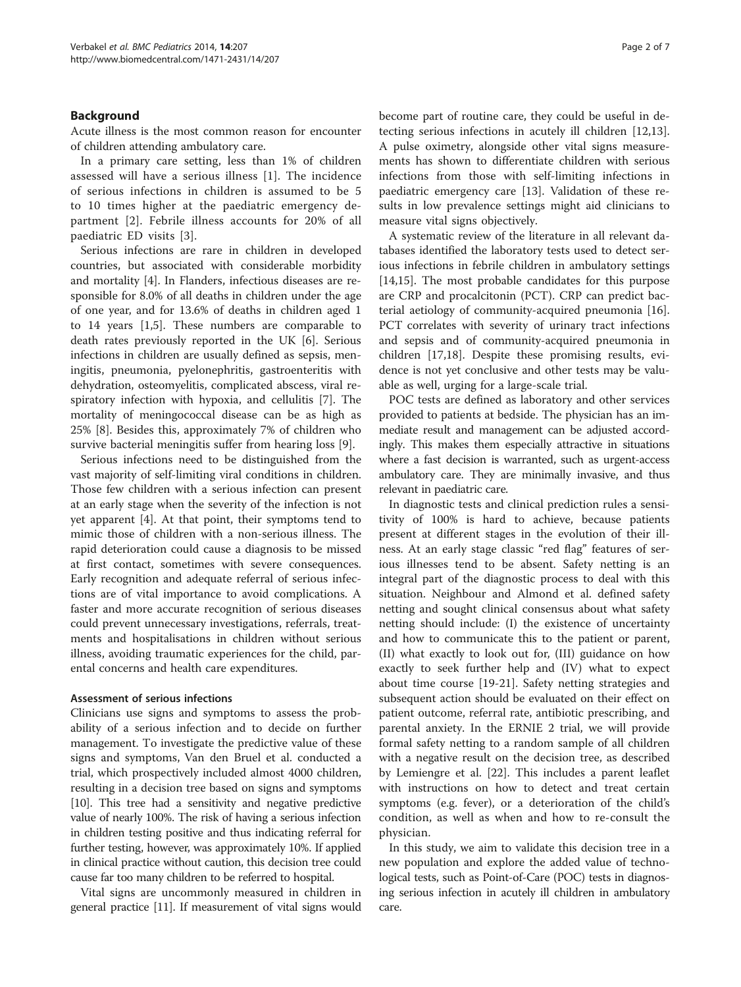#### Background

Acute illness is the most common reason for encounter of children attending ambulatory care.

In a primary care setting, less than 1% of children assessed will have a serious illness [[1\]](#page-6-0). The incidence of serious infections in children is assumed to be 5 to 10 times higher at the paediatric emergency department [[2](#page-6-0)]. Febrile illness accounts for 20% of all paediatric ED visits [[3\]](#page-6-0).

Serious infections are rare in children in developed countries, but associated with considerable morbidity and mortality [[4\]](#page-6-0). In Flanders, infectious diseases are responsible for 8.0% of all deaths in children under the age of one year, and for 13.6% of deaths in children aged 1 to 14 years [[1,5\]](#page-6-0). These numbers are comparable to death rates previously reported in the UK [[6\]](#page-6-0). Serious infections in children are usually defined as sepsis, meningitis, pneumonia, pyelonephritis, gastroenteritis with dehydration, osteomyelitis, complicated abscess, viral respiratory infection with hypoxia, and cellulitis [[7\]](#page-6-0). The mortality of meningococcal disease can be as high as 25% [\[8\]](#page-6-0). Besides this, approximately 7% of children who survive bacterial meningitis suffer from hearing loss [\[9](#page-6-0)].

Serious infections need to be distinguished from the vast majority of self-limiting viral conditions in children. Those few children with a serious infection can present at an early stage when the severity of the infection is not yet apparent [[4](#page-6-0)]. At that point, their symptoms tend to mimic those of children with a non-serious illness. The rapid deterioration could cause a diagnosis to be missed at first contact, sometimes with severe consequences. Early recognition and adequate referral of serious infections are of vital importance to avoid complications. A faster and more accurate recognition of serious diseases could prevent unnecessary investigations, referrals, treatments and hospitalisations in children without serious illness, avoiding traumatic experiences for the child, parental concerns and health care expenditures.

# Assessment of serious infections

Clinicians use signs and symptoms to assess the probability of a serious infection and to decide on further management. To investigate the predictive value of these signs and symptoms, Van den Bruel et al. conducted a trial, which prospectively included almost 4000 children, resulting in a decision tree based on signs and symptoms [[10](#page-6-0)]. This tree had a sensitivity and negative predictive value of nearly 100%. The risk of having a serious infection in children testing positive and thus indicating referral for further testing, however, was approximately 10%. If applied in clinical practice without caution, this decision tree could cause far too many children to be referred to hospital.

Vital signs are uncommonly measured in children in general practice [\[11\]](#page-6-0). If measurement of vital signs would

become part of routine care, they could be useful in detecting serious infections in acutely ill children [\[12,13](#page-6-0)]. A pulse oximetry, alongside other vital signs measurements has shown to differentiate children with serious infections from those with self-limiting infections in paediatric emergency care [[13\]](#page-6-0). Validation of these results in low prevalence settings might aid clinicians to measure vital signs objectively.

A systematic review of the literature in all relevant databases identified the laboratory tests used to detect serious infections in febrile children in ambulatory settings [[14,15\]](#page-6-0). The most probable candidates for this purpose are CRP and procalcitonin (PCT). CRP can predict bacterial aetiology of community-acquired pneumonia [\[16](#page-6-0)]. PCT correlates with severity of urinary tract infections and sepsis and of community-acquired pneumonia in children [[17,18\]](#page-6-0). Despite these promising results, evidence is not yet conclusive and other tests may be valuable as well, urging for a large-scale trial.

POC tests are defined as laboratory and other services provided to patients at bedside. The physician has an immediate result and management can be adjusted accordingly. This makes them especially attractive in situations where a fast decision is warranted, such as urgent-access ambulatory care. They are minimally invasive, and thus relevant in paediatric care.

In diagnostic tests and clinical prediction rules a sensitivity of 100% is hard to achieve, because patients present at different stages in the evolution of their illness. At an early stage classic "red flag" features of serious illnesses tend to be absent. Safety netting is an integral part of the diagnostic process to deal with this situation. Neighbour and Almond et al. defined safety netting and sought clinical consensus about what safety netting should include: (I) the existence of uncertainty and how to communicate this to the patient or parent, (II) what exactly to look out for, (III) guidance on how exactly to seek further help and (IV) what to expect about time course [[19-21](#page-6-0)]. Safety netting strategies and subsequent action should be evaluated on their effect on patient outcome, referral rate, antibiotic prescribing, and parental anxiety. In the ERNIE 2 trial, we will provide formal safety netting to a random sample of all children with a negative result on the decision tree, as described by Lemiengre et al. [[22\]](#page-6-0). This includes a parent leaflet with instructions on how to detect and treat certain symptoms (e.g. fever), or a deterioration of the child's condition, as well as when and how to re-consult the physician.

In this study, we aim to validate this decision tree in a new population and explore the added value of technological tests, such as Point-of-Care (POC) tests in diagnosing serious infection in acutely ill children in ambulatory care.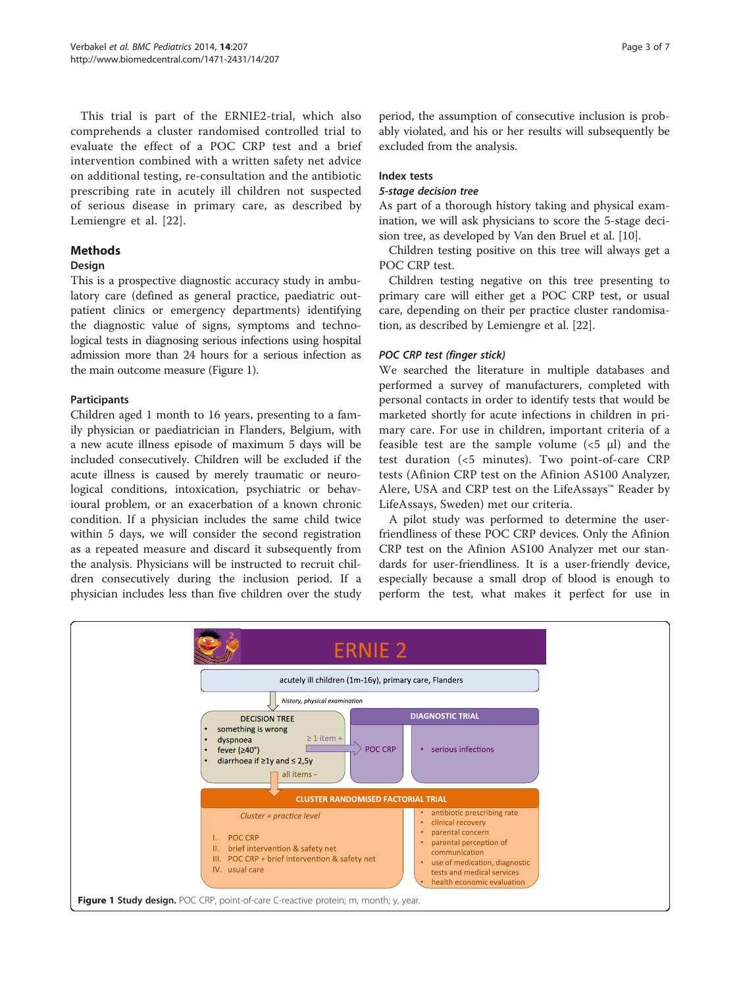This trial is part of the ERNIE2-trial, which also comprehends a cluster randomised controlled trial to evaluate the effect of a POC CRP test and a brief intervention combined with a written safety net advice on additional testing, re-consultation and the antibiotic prescribing rate in acutely ill children not suspected of serious disease in primary care, as described by Lemiengre et al. [[22\]](#page-6-0).

# Methods

# Design

This is a prospective diagnostic accuracy study in ambulatory care (defined as general practice, paediatric outpatient clinics or emergency departments) identifying the diagnostic value of signs, symptoms and technological tests in diagnosing serious infections using hospital admission more than 24 hours for a serious infection as the main outcome measure (Figure 1).

# Participants

Children aged 1 month to 16 years, presenting to a family physician or paediatrician in Flanders, Belgium, with a new acute illness episode of maximum 5 days will be included consecutively. Children will be excluded if the acute illness is caused by merely traumatic or neurological conditions, intoxication, psychiatric or behavioural problem, or an exacerbation of a known chronic condition. If a physician includes the same child twice within 5 days, we will consider the second registration as a repeated measure and discard it subsequently from the analysis. Physicians will be instructed to recruit children consecutively during the inclusion period. If a physician includes less than five children over the study

period, the assumption of consecutive inclusion is probably violated, and his or her results will subsequently be excluded from the analysis.

# Index tests

#### 5-stage decision tree

As part of a thorough history taking and physical examination, we will ask physicians to score the 5-stage decision tree, as developed by Van den Bruel et al. [\[10](#page-6-0)].

Children testing positive on this tree will always get a POC CRP test.

Children testing negative on this tree presenting to primary care will either get a POC CRP test, or usual care, depending on their per practice cluster randomisation, as described by Lemiengre et al. [\[22](#page-6-0)].

# POC CRP test (finger stick)

We searched the literature in multiple databases and performed a survey of manufacturers, completed with personal contacts in order to identify tests that would be marketed shortly for acute infections in children in primary care. For use in children, important criteria of a feasible test are the sample volume  $(<5 \mu l$ ) and the test duration (<5 minutes). Two point-of-care CRP tests (Afinion CRP test on the Afinion AS100 Analyzer, Alere, USA and CRP test on the LifeAssays™ Reader by LifeAssays, Sweden) met our criteria.

A pilot study was performed to determine the userfriendliness of these POC CRP devices. Only the Afinion CRP test on the Afinion AS100 Analyzer met our standards for user-friendliness. It is a user-friendly device, especially because a small drop of blood is enough to perform the test, what makes it perfect for use in

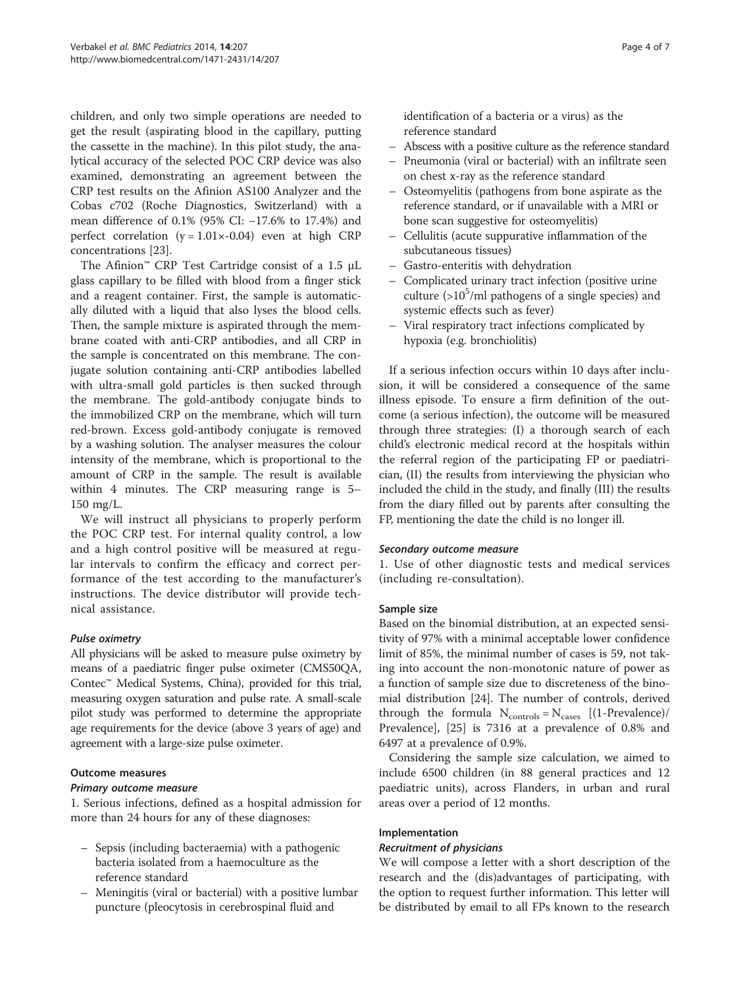children, and only two simple operations are needed to get the result (aspirating blood in the capillary, putting the cassette in the machine). In this pilot study, the analytical accuracy of the selected POC CRP device was also examined, demonstrating an agreement between the CRP test results on the Afinion AS100 Analyzer and the Cobas c702 (Roche Diagnostics, Switzerland) with a mean difference of 0.1% (95% CI: −17.6% to 17.4%) and perfect correlation  $(y = 1.01 \times -0.04)$  even at high CRP concentrations [\[23](#page-6-0)].

The Afinion™ CRP Test Cartridge consist of a 1.5 μL glass capillary to be filled with blood from a finger stick and a reagent container. First, the sample is automatically diluted with a liquid that also lyses the blood cells. Then, the sample mixture is aspirated through the membrane coated with anti-CRP antibodies, and all CRP in the sample is concentrated on this membrane. The conjugate solution containing anti-CRP antibodies labelled with ultra-small gold particles is then sucked through the membrane. The gold-antibody conjugate binds to the immobilized CRP on the membrane, which will turn red-brown. Excess gold-antibody conjugate is removed by a washing solution. The analyser measures the colour intensity of the membrane, which is proportional to the amount of CRP in the sample. The result is available within 4 minutes. The CRP measuring range is 5– 150 mg/L.

We will instruct all physicians to properly perform the POC CRP test. For internal quality control, a low and a high control positive will be measured at regular intervals to confirm the efficacy and correct performance of the test according to the manufacturer's instructions. The device distributor will provide technical assistance.

# Pulse oximetry

All physicians will be asked to measure pulse oximetry by means of a paediatric finger pulse oximeter (CMS50QA, Contec™ Medical Systems, China), provided for this trial, measuring oxygen saturation and pulse rate. A small-scale pilot study was performed to determine the appropriate age requirements for the device (above 3 years of age) and agreement with a large-size pulse oximeter.

# Outcome measures

# Primary outcome measure

1. Serious infections, defined as a hospital admission for more than 24 hours for any of these diagnoses:

- Sepsis (including bacteraemia) with a pathogenic bacteria isolated from a haemoculture as the reference standard
- Meningitis (viral or bacterial) with a positive lumbar puncture (pleocytosis in cerebrospinal fluid and

identification of a bacteria or a virus) as the reference standard

- Abscess with a positive culture as the reference standard
- Pneumonia (viral or bacterial) with an infiltrate seen on chest x-ray as the reference standard
- Osteomyelitis (pathogens from bone aspirate as the reference standard, or if unavailable with a MRI or bone scan suggestive for osteomyelitis)
- Cellulitis (acute suppurative inflammation of the subcutaneous tissues)
- Gastro-enteritis with dehydration
- Complicated urinary tract infection (positive urine culture  $(>10^5/ml$  pathogens of a single species) and systemic effects such as fever)
- Viral respiratory tract infections complicated by hypoxia (e.g. bronchiolitis)

If a serious infection occurs within 10 days after inclusion, it will be considered a consequence of the same illness episode. To ensure a firm definition of the outcome (a serious infection), the outcome will be measured through three strategies: (I) a thorough search of each child's electronic medical record at the hospitals within the referral region of the participating FP or paediatrician, (II) the results from interviewing the physician who included the child in the study, and finally (III) the results from the diary filled out by parents after consulting the FP, mentioning the date the child is no longer ill.

# Secondary outcome measure

1. Use of other diagnostic tests and medical services (including re-consultation).

# Sample size

Based on the binomial distribution, at an expected sensitivity of 97% with a minimal acceptable lower confidence limit of 85%, the minimal number of cases is 59, not taking into account the non-monotonic nature of power as a function of sample size due to discreteness of the binomial distribution [\[24](#page-6-0)]. The number of controls, derived through the formula  $N_{\text{controls}} = N_{\text{cases}}$  [(1-Prevalence)/ Prevalence], [\[25\]](#page-6-0) is 7316 at a prevalence of 0.8% and 6497 at a prevalence of 0.9%.

Considering the sample size calculation, we aimed to include 6500 children (in 88 general practices and 12 paediatric units), across Flanders, in urban and rural areas over a period of 12 months.

#### Implementation

#### Recruitment of physicians

We will compose a letter with a short description of the research and the (dis)advantages of participating, with the option to request further information. This letter will be distributed by email to all FPs known to the research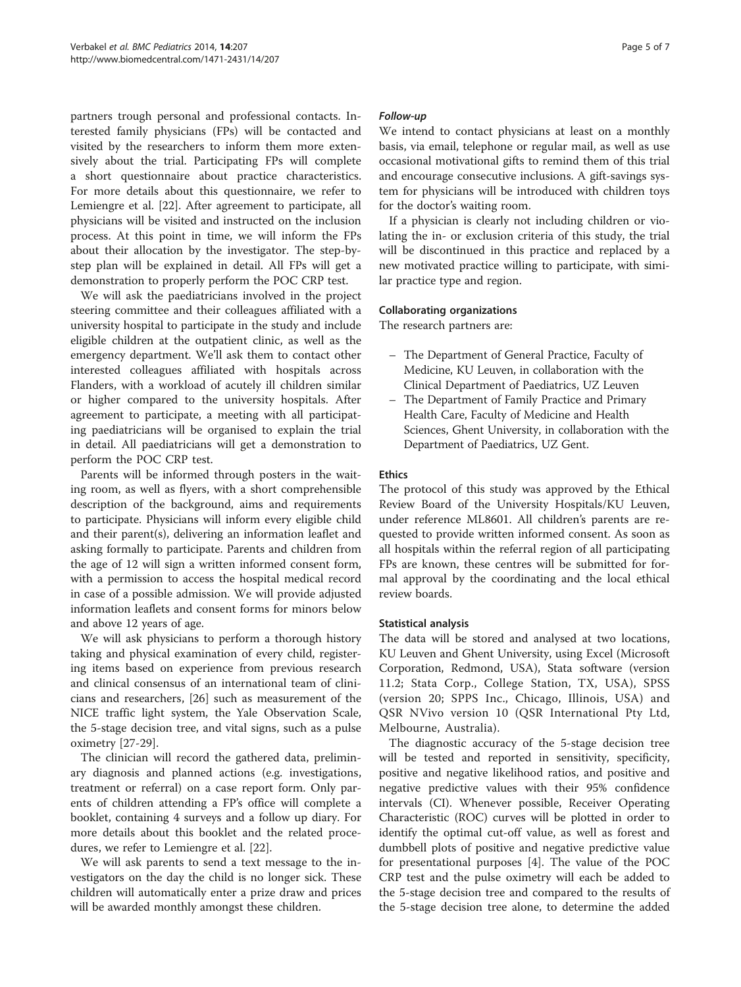partners trough personal and professional contacts. Interested family physicians (FPs) will be contacted and visited by the researchers to inform them more extensively about the trial. Participating FPs will complete a short questionnaire about practice characteristics. For more details about this questionnaire, we refer to Lemiengre et al. [[22](#page-6-0)]. After agreement to participate, all physicians will be visited and instructed on the inclusion process. At this point in time, we will inform the FPs about their allocation by the investigator. The step-bystep plan will be explained in detail. All FPs will get a demonstration to properly perform the POC CRP test.

We will ask the paediatricians involved in the project steering committee and their colleagues affiliated with a university hospital to participate in the study and include eligible children at the outpatient clinic, as well as the emergency department. We'll ask them to contact other interested colleagues affiliated with hospitals across Flanders, with a workload of acutely ill children similar or higher compared to the university hospitals. After agreement to participate, a meeting with all participating paediatricians will be organised to explain the trial in detail. All paediatricians will get a demonstration to perform the POC CRP test.

Parents will be informed through posters in the waiting room, as well as flyers, with a short comprehensible description of the background, aims and requirements to participate. Physicians will inform every eligible child and their parent(s), delivering an information leaflet and asking formally to participate. Parents and children from the age of 12 will sign a written informed consent form, with a permission to access the hospital medical record in case of a possible admission. We will provide adjusted information leaflets and consent forms for minors below and above 12 years of age.

We will ask physicians to perform a thorough history taking and physical examination of every child, registering items based on experience from previous research and clinical consensus of an international team of clinicians and researchers, [\[26\]](#page-6-0) such as measurement of the NICE traffic light system, the Yale Observation Scale, the 5-stage decision tree, and vital signs, such as a pulse oximetry [\[27-29](#page-6-0)].

The clinician will record the gathered data, preliminary diagnosis and planned actions (e.g. investigations, treatment or referral) on a case report form. Only parents of children attending a FP's office will complete a booklet, containing 4 surveys and a follow up diary. For more details about this booklet and the related procedures, we refer to Lemiengre et al. [[22\]](#page-6-0).

We will ask parents to send a text message to the investigators on the day the child is no longer sick. These children will automatically enter a prize draw and prices will be awarded monthly amongst these children.

# Follow-up

We intend to contact physicians at least on a monthly basis, via email, telephone or regular mail, as well as use occasional motivational gifts to remind them of this trial and encourage consecutive inclusions. A gift-savings system for physicians will be introduced with children toys for the doctor's waiting room.

If a physician is clearly not including children or violating the in- or exclusion criteria of this study, the trial will be discontinued in this practice and replaced by a new motivated practice willing to participate, with similar practice type and region.

# Collaborating organizations

The research partners are:

- The Department of General Practice, Faculty of Medicine, KU Leuven, in collaboration with the Clinical Department of Paediatrics, UZ Leuven
- The Department of Family Practice and Primary Health Care, Faculty of Medicine and Health Sciences, Ghent University, in collaboration with the Department of Paediatrics, UZ Gent.

# **Ethics**

The protocol of this study was approved by the Ethical Review Board of the University Hospitals/KU Leuven, under reference ML8601. All children's parents are requested to provide written informed consent. As soon as all hospitals within the referral region of all participating FPs are known, these centres will be submitted for formal approval by the coordinating and the local ethical review boards.

#### Statistical analysis

The data will be stored and analysed at two locations, KU Leuven and Ghent University, using Excel (Microsoft Corporation, Redmond, USA), Stata software (version 11.2; Stata Corp., College Station, TX, USA), SPSS (version 20; SPPS Inc., Chicago, Illinois, USA) and QSR NVivo version 10 (QSR International Pty Ltd, Melbourne, Australia).

The diagnostic accuracy of the 5-stage decision tree will be tested and reported in sensitivity, specificity, positive and negative likelihood ratios, and positive and negative predictive values with their 95% confidence intervals (CI). Whenever possible, Receiver Operating Characteristic (ROC) curves will be plotted in order to identify the optimal cut-off value, as well as forest and dumbbell plots of positive and negative predictive value for presentational purposes [\[4](#page-6-0)]. The value of the POC CRP test and the pulse oximetry will each be added to the 5-stage decision tree and compared to the results of the 5-stage decision tree alone, to determine the added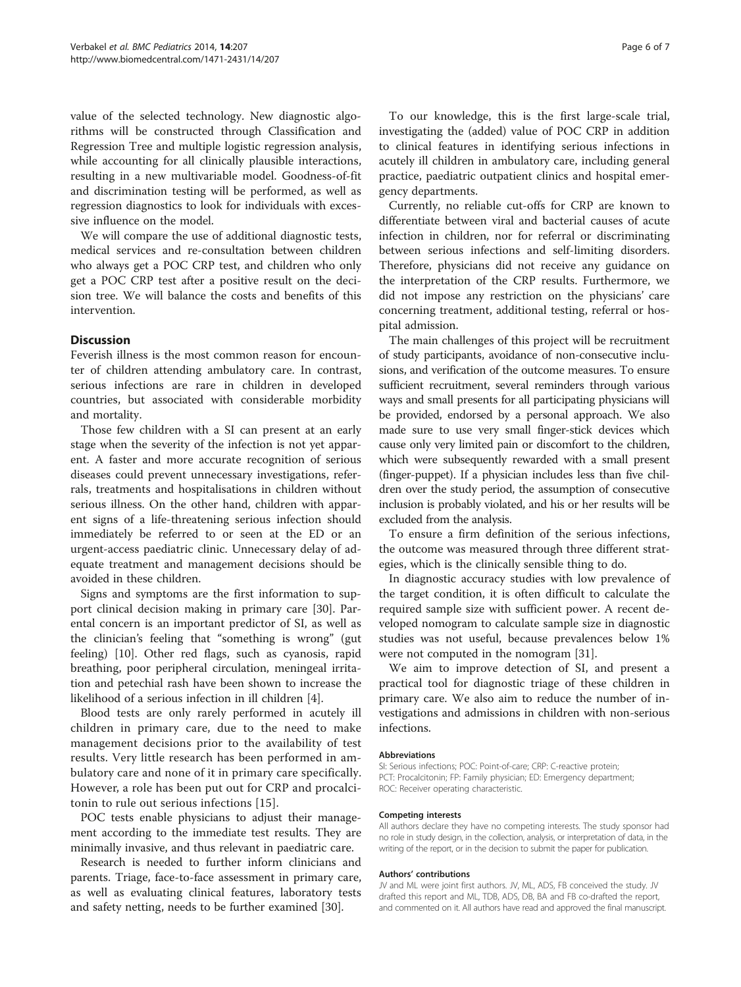value of the selected technology. New diagnostic algorithms will be constructed through Classification and Regression Tree and multiple logistic regression analysis, while accounting for all clinically plausible interactions, resulting in a new multivariable model. Goodness-of-fit and discrimination testing will be performed, as well as regression diagnostics to look for individuals with excessive influence on the model.

We will compare the use of additional diagnostic tests, medical services and re-consultation between children who always get a POC CRP test, and children who only get a POC CRP test after a positive result on the decision tree. We will balance the costs and benefits of this intervention.

#### Discussion

Feverish illness is the most common reason for encounter of children attending ambulatory care. In contrast, serious infections are rare in children in developed countries, but associated with considerable morbidity and mortality.

Those few children with a SI can present at an early stage when the severity of the infection is not yet apparent. A faster and more accurate recognition of serious diseases could prevent unnecessary investigations, referrals, treatments and hospitalisations in children without serious illness. On the other hand, children with apparent signs of a life-threatening serious infection should immediately be referred to or seen at the ED or an urgent-access paediatric clinic. Unnecessary delay of adequate treatment and management decisions should be avoided in these children.

Signs and symptoms are the first information to support clinical decision making in primary care [\[30](#page-6-0)]. Parental concern is an important predictor of SI, as well as the clinician's feeling that "something is wrong" (gut feeling) [\[10](#page-6-0)]. Other red flags, such as cyanosis, rapid breathing, poor peripheral circulation, meningeal irritation and petechial rash have been shown to increase the likelihood of a serious infection in ill children [[4\]](#page-6-0).

Blood tests are only rarely performed in acutely ill children in primary care, due to the need to make management decisions prior to the availability of test results. Very little research has been performed in ambulatory care and none of it in primary care specifically. However, a role has been put out for CRP and procalcitonin to rule out serious infections [[15\]](#page-6-0).

POC tests enable physicians to adjust their management according to the immediate test results. They are minimally invasive, and thus relevant in paediatric care.

Research is needed to further inform clinicians and parents. Triage, face-to-face assessment in primary care, as well as evaluating clinical features, laboratory tests and safety netting, needs to be further examined [\[30](#page-6-0)].

To our knowledge, this is the first large-scale trial, investigating the (added) value of POC CRP in addition to clinical features in identifying serious infections in acutely ill children in ambulatory care, including general practice, paediatric outpatient clinics and hospital emergency departments.

Currently, no reliable cut-offs for CRP are known to differentiate between viral and bacterial causes of acute infection in children, nor for referral or discriminating between serious infections and self-limiting disorders. Therefore, physicians did not receive any guidance on the interpretation of the CRP results. Furthermore, we did not impose any restriction on the physicians' care concerning treatment, additional testing, referral or hospital admission.

The main challenges of this project will be recruitment of study participants, avoidance of non-consecutive inclusions, and verification of the outcome measures. To ensure sufficient recruitment, several reminders through various ways and small presents for all participating physicians will be provided, endorsed by a personal approach. We also made sure to use very small finger-stick devices which cause only very limited pain or discomfort to the children, which were subsequently rewarded with a small present (finger-puppet). If a physician includes less than five children over the study period, the assumption of consecutive inclusion is probably violated, and his or her results will be excluded from the analysis.

To ensure a firm definition of the serious infections, the outcome was measured through three different strategies, which is the clinically sensible thing to do.

In diagnostic accuracy studies with low prevalence of the target condition, it is often difficult to calculate the required sample size with sufficient power. A recent developed nomogram to calculate sample size in diagnostic studies was not useful, because prevalences below 1% were not computed in the nomogram [\[31](#page-6-0)].

We aim to improve detection of SI, and present a practical tool for diagnostic triage of these children in primary care. We also aim to reduce the number of investigations and admissions in children with non-serious infections.

#### Abbreviations

SI: Serious infections; POC: Point-of-care; CRP: C-reactive protein; PCT: Procalcitonin; FP: Family physician; ED: Emergency department; ROC: Receiver operating characteristic.

#### Competing interests

All authors declare they have no competing interests. The study sponsor had no role in study design, in the collection, analysis, or interpretation of data, in the writing of the report, or in the decision to submit the paper for publication.

#### Authors' contributions

JV and ML were joint first authors. JV, ML, ADS, FB conceived the study. JV drafted this report and ML, TDB, ADS, DB, BA and FB co-drafted the report, and commented on it. All authors have read and approved the final manuscript.